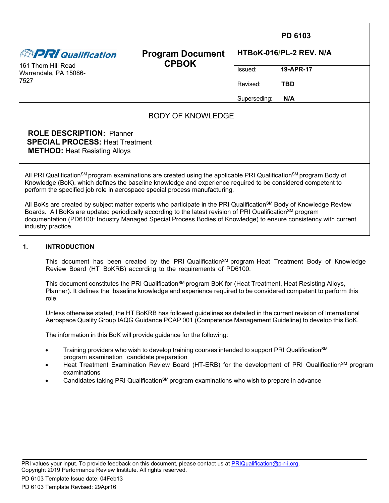|                                                                                                                                                                                                                                                                                                                                        |                                         |              | PD 6103                 |  |  |  |  |  |
|----------------------------------------------------------------------------------------------------------------------------------------------------------------------------------------------------------------------------------------------------------------------------------------------------------------------------------------|-----------------------------------------|--------------|-------------------------|--|--|--|--|--|
| <b>ENPRI Qualification</b>                                                                                                                                                                                                                                                                                                             | <b>Program Document</b><br><b>CPBOK</b> |              | HTBoK-016/PL-2 REV. N/A |  |  |  |  |  |
| 161 Thorn Hill Road<br>Warrendale, PA 15086-                                                                                                                                                                                                                                                                                           |                                         | Issued:      | 19-APR-17               |  |  |  |  |  |
| 7527                                                                                                                                                                                                                                                                                                                                   |                                         | Revised:     | <b>TBD</b>              |  |  |  |  |  |
|                                                                                                                                                                                                                                                                                                                                        |                                         | Superseding: | N/A                     |  |  |  |  |  |
| <b>BODY OF KNOWLEDGE</b>                                                                                                                                                                                                                                                                                                               |                                         |              |                         |  |  |  |  |  |
| <b>ROLE DESCRIPTION: Planner</b><br><b>SPECIAL PROCESS: Heat Treatment</b><br><b>METHOD:</b> Heat Resisting Alloys                                                                                                                                                                                                                     |                                         |              |                         |  |  |  |  |  |
| All PRI Qualification <sup>sM</sup> program examinations are created using the applicable PRI Qualification <sup>sM</sup> program Body of<br>Knowledge (BoK), which defines the baseline knowledge and experience required to be considered competent to<br>perform the specified job role in aerospace special process manufacturing. |                                         |              |                         |  |  |  |  |  |

All BoKs are created by subject matter experts who participate in the PRI Qualification<sup>SM</sup> Body of Knowledge Review Boards. All BoKs are updated periodically according to the latest revision of PRI Qualification<sup>SM</sup> program documentation (PD6100: Industry Managed Special Process Bodies of Knowledge) to ensure consistency with current industry practice.

#### **1. INTRODUCTION**

This document has been created by the PRI Qualification<sup>SM</sup> program Heat Treatment Body of Knowledge Review Board (HT BoKRB) according to the requirements of PD6100.

This document constitutes the PRI Qualification<sup>SM</sup> program BoK for (Heat Treatment, Heat Resisting Alloys, Planner). It defines the baseline knowledge and experience required to be considered competent to perform this role.

Unless otherwise stated, the HT BoKRB has followed guidelines as detailed in the current revision of International Aerospace Quality Group IAQG Guidance PCAP 001 (Competence Management Guideline) to develop this BoK.

The information in this BoK will provide guidance for the following:

- Training providers who wish to develop training courses intended to support PRI Qualification<sup>SM</sup> program examination candidate preparation
- Heat Treatment Examination Review Board (HT-ERB) for the development of PRI Qualification<sup>SM</sup> program examinations
- Candidates taking PRI Qualification<sup>SM</sup> program examinations who wish to prepare in advance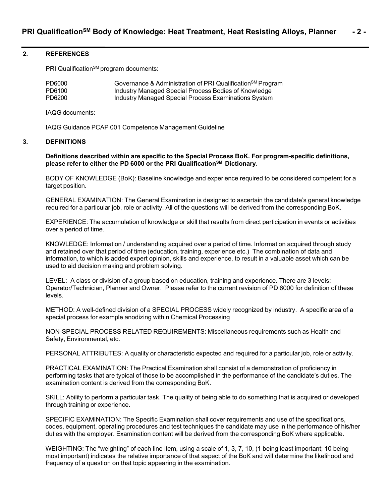#### **2. REFERENCES**

PRI Qualification<sup>SM</sup> program documents:

| PD6000 | Governance & Administration of PRI Qualification <sup>SM</sup> Program |
|--------|------------------------------------------------------------------------|
| PD6100 | Industry Managed Special Process Bodies of Knowledge                   |
| PD6200 | Industry Managed Special Process Examinations System                   |

IAQG documents:

IAQG Guidance PCAP 001 Competence Management Guideline

#### **3. DEFINITIONS**

#### **Definitions described within are specific to the Special Process BoK. For program-specific definitions, please refer to either the PD 6000 or the PRI QualificationSM Dictionary.**

BODY OF KNOWLEDGE (BoK): Baseline knowledge and experience required to be considered competent for a target position.

GENERAL EXAMINATION: The General Examination is designed to ascertain the candidate's general knowledge required for a particular job, role or activity. All of the questions will be derived from the corresponding BoK.

EXPERIENCE: The accumulation of knowledge or skill that results from direct participation in events or activities over a period of time.

KNOWLEDGE: Information / understanding acquired over a period of time. Information acquired through study and retained over that period of time (education, training, experience etc.) The combination of data and information, to which is added expert opinion, skills and experience, to result in a valuable asset which can be used to aid decision making and problem solving.

LEVEL: A class or division of a group based on education, training and experience. There are 3 levels: Operator/Technician, Planner and Owner. Please refer to the current revision of PD 6000 for definition of these levels.

METHOD: A well-defined division of a SPECIAL PROCESS widely recognized by industry. A specific area of a special process for example anodizing within Chemical Processing

NON-SPECIAL PROCESS RELATED REQUIREMENTS: Miscellaneous requirements such as Health and Safety, Environmental, etc.

PERSONAL ATTRIBUTES: A quality or characteristic expected and required for a particular job, role or activity.

PRACTICAL EXAMINATION: The Practical Examination shall consist of a demonstration of proficiency in performing tasks that are typical of those to be accomplished in the performance of the candidate's duties. The examination content is derived from the corresponding BoK.

SKILL: Ability to perform a particular task. The quality of being able to do something that is acquired or developed through training or experience.

SPECIFIC EXAMINATION: The Specific Examination shall cover requirements and use of the specifications, codes, equipment, operating procedures and test techniques the candidate may use in the performance of his/her duties with the employer. Examination content will be derived from the corresponding BoK where applicable.

WEIGHTING: The "weighting" of each line item, using a scale of 1, 3, 7, 10, (1 being least important; 10 being most important) indicates the relative importance of that aspect of the BoK and will determine the likelihood and frequency of a question on that topic appearing in the examination.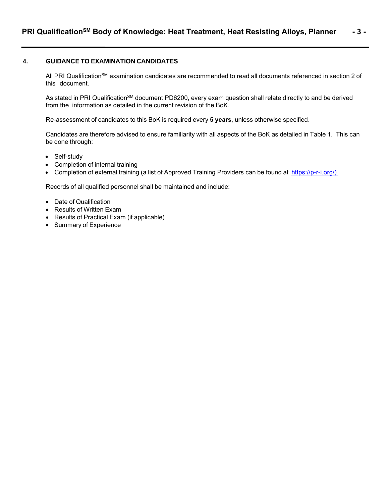#### **4. GUIDANCE TO EXAMINATION CANDIDATES**

All PRI Qualification<sup>SM</sup> examination candidates are recommended to read all documents referenced in section 2 of this document.

As stated in PRI Qualification<sup>SM</sup> document PD6200, every exam question shall relate directly to and be derived from the information as detailed in the current revision of the BoK.

Re-assessment of candidates to this BoK is required every **5 years**, unless otherwise specified.

Candidates are therefore advised to ensure familiarity with all aspects of the BoK as detailed in Table 1. This can be done through:

- Self-study
- Completion of internal training
- Completion of external training (a list of Approved Training Providers can be found at [https://p-r-i.org/\)](https://p-r-i.org/)

Records of all qualified personnel shall be maintained and include:

- Date of Qualification
- Results of Written Exam
- Results of Practical Exam (if applicable)
- Summary of Experience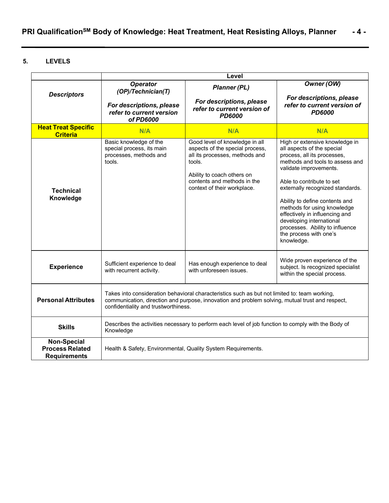### **5. LEVELS**

|                                                                     | Level                                                                                                                                                                                                                                    |                                                                                                                                                                                                           |                                                                                                                                                                                                                                                                                                                                                                                                                                     |  |  |  |  |  |
|---------------------------------------------------------------------|------------------------------------------------------------------------------------------------------------------------------------------------------------------------------------------------------------------------------------------|-----------------------------------------------------------------------------------------------------------------------------------------------------------------------------------------------------------|-------------------------------------------------------------------------------------------------------------------------------------------------------------------------------------------------------------------------------------------------------------------------------------------------------------------------------------------------------------------------------------------------------------------------------------|--|--|--|--|--|
| <b>Descriptors</b>                                                  | <b>Operator</b><br>(OP)/Technician(T)                                                                                                                                                                                                    | <b>Planner (PL)</b>                                                                                                                                                                                       | Owner (OW)                                                                                                                                                                                                                                                                                                                                                                                                                          |  |  |  |  |  |
|                                                                     | For descriptions, please<br>refer to current version<br>of PD6000                                                                                                                                                                        | For descriptions, please<br>refer to current version of<br><b>PD6000</b>                                                                                                                                  | For descriptions, please<br>refer to current version of<br><b>PD6000</b>                                                                                                                                                                                                                                                                                                                                                            |  |  |  |  |  |
| <b>Heat Treat Specific</b><br><b>Criteria</b>                       | N/A                                                                                                                                                                                                                                      | N/A                                                                                                                                                                                                       | N/A                                                                                                                                                                                                                                                                                                                                                                                                                                 |  |  |  |  |  |
| <b>Technical</b><br>Knowledge                                       | Basic knowledge of the<br>special process, its main<br>processes, methods and<br>tools.                                                                                                                                                  | Good level of knowledge in all<br>aspects of the special process,<br>all its processes, methods and<br>tools.<br>Ability to coach others on<br>contents and methods in the<br>context of their workplace. | High or extensive knowledge in<br>all aspects of the special<br>process, all its processes,<br>methods and tools to assess and<br>validate improvements.<br>Able to contribute to set<br>externally recognized standards.<br>Ability to define contents and<br>methods for using knowledge<br>effectively in influencing and<br>developing international<br>processes. Ability to influence<br>the process with one's<br>knowledge. |  |  |  |  |  |
| <b>Experience</b>                                                   | Sufficient experience to deal<br>with recurrent activity.                                                                                                                                                                                | Has enough experience to deal<br>with unforeseen issues.                                                                                                                                                  | Wide proven experience of the<br>subject. Is recognized specialist<br>within the special process.                                                                                                                                                                                                                                                                                                                                   |  |  |  |  |  |
| <b>Personal Attributes</b>                                          | Takes into consideration behavioral characteristics such as but not limited to: team working,<br>communication, direction and purpose, innovation and problem solving, mutual trust and respect,<br>confidentiality and trustworthiness. |                                                                                                                                                                                                           |                                                                                                                                                                                                                                                                                                                                                                                                                                     |  |  |  |  |  |
| <b>Skills</b>                                                       | Knowledge                                                                                                                                                                                                                                | Describes the activities necessary to perform each level of job function to comply with the Body of                                                                                                       |                                                                                                                                                                                                                                                                                                                                                                                                                                     |  |  |  |  |  |
| <b>Non-Special</b><br><b>Process Related</b><br><b>Requirements</b> | Health & Safety, Environmental, Quality System Requirements.                                                                                                                                                                             |                                                                                                                                                                                                           |                                                                                                                                                                                                                                                                                                                                                                                                                                     |  |  |  |  |  |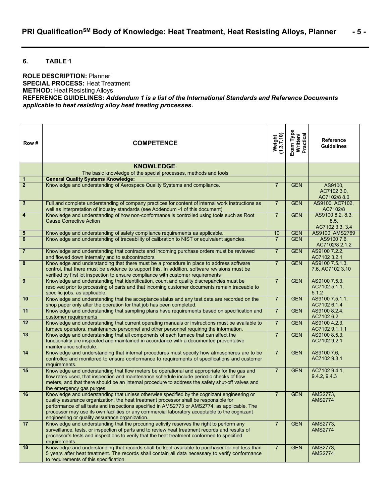#### **6. TABLE 1**

**ROLE DESCRIPTION:** Planner **SPECIAL PROCESS:** Heat Treatment **METHOD:** Heat Resisting Alloys **REFERENCE GUIDELINES:** *Addendum 1 is a list of the International Standards and Reference Documents applicable to heat resisting alloy heat treating processes.*

| Row#                    | <b>COMPETENCE</b>                                                                                                                                                                                                                                                                                                                                                                                                                       | Weight<br>(1,3,7,10) | Exam Type<br>Written/<br>Practical | <b>Reference</b><br><b>Guidelines</b>       |
|-------------------------|-----------------------------------------------------------------------------------------------------------------------------------------------------------------------------------------------------------------------------------------------------------------------------------------------------------------------------------------------------------------------------------------------------------------------------------------|----------------------|------------------------------------|---------------------------------------------|
|                         | <b>KNOWLEDGE:</b>                                                                                                                                                                                                                                                                                                                                                                                                                       |                      |                                    |                                             |
| 1                       | The basic knowledge of the special processes, methods and tools<br><b>General Quality Systems Knowledge:</b>                                                                                                                                                                                                                                                                                                                            |                      |                                    |                                             |
| $\overline{2}$          | Knowledge and understanding of Aerospace Quality Systems and compliance.                                                                                                                                                                                                                                                                                                                                                                | $\overline{7}$       | <b>GEN</b>                         | AS9100,                                     |
|                         |                                                                                                                                                                                                                                                                                                                                                                                                                                         |                      |                                    | AC7102 3.0,<br>AC7102/8 8.0                 |
| $\overline{\mathbf{3}}$ | Full and complete understanding of company practices for content of internal work instructions as<br>well as interpretation of industry standards (see Addendum -1 of this document)                                                                                                                                                                                                                                                    | $\overline{7}$       | <b>GEN</b>                         | AS9100, AC7102,<br>AC7102/8                 |
| 4                       | Knowledge and understanding of how non-conformance is controlled using tools such as Root<br><b>Cause Corrective Action</b>                                                                                                                                                                                                                                                                                                             | $\overline{7}$       | <b>GEN</b>                         | AS9100 8.2, 8.3,<br>8.5.<br>AC7102 3.3, 3.4 |
| 5                       | Knowledge and understanding of safety compliance requirements as applicable.                                                                                                                                                                                                                                                                                                                                                            | 10                   | <b>GEN</b>                         | AS9100, AMS2769                             |
| $\bf 6$                 | Knowledge and understanding of traceability of calibration to NIST or equivalent agencies.                                                                                                                                                                                                                                                                                                                                              | $\overline{7}$       | <b>GEN</b>                         | AS9100 7.6,<br>AC7102/8 2.1.2               |
| $\overline{7}$          | Knowledge and understanding that contracts and incoming purchase orders must be reviewed<br>and flowed down internally and to subcontractors                                                                                                                                                                                                                                                                                            | $\overline{7}$       | <b>GEN</b>                         | AS9100 7.2.2,<br>AC7102 3.2.1               |
| 8                       | Knowledge and understanding that there must be a procedure in place to address software<br>control, that there must be evidence to support this. In addition, software revisions must be<br>verified by first lot inspection to ensure compliance with customer requirements                                                                                                                                                            | $\overline{7}$       | <b>GEN</b>                         | AS9100 7.5.1.3,<br>7.6, AC7102 3.10         |
| 9                       | Knowledge and understanding that identification, count and quality discrepancies must be<br>resolved prior to processing of parts and that incoming customer documents remain traceable to<br>specific jobs, as applicable.                                                                                                                                                                                                             | $\overline{7}$       | <b>GEN</b>                         | AS9100 7.5.3,<br>AC7102 5.1.1,<br>5.1.2     |
| 10                      | Knowledge and understanding that the acceptance status and any test data are recorded on the<br>shop paper only after the operation for that job has been completed.                                                                                                                                                                                                                                                                    | $\overline{7}$       | <b>GEN</b>                         | AS9100 7.5.1.1,<br>AC7102 6.1.4             |
| 11                      | Knowledge and understanding that sampling plans have requirements based on specification and<br>customer requirements                                                                                                                                                                                                                                                                                                                   | $\overline{7}$       | <b>GEN</b>                         | AS9100 8.2.4,<br>AC7102 6.2                 |
| 12                      | Knowledge and understanding that current operating manuals or instructions must be available to<br>furnace operators, maintenance personnel and other personnel requiring the information.                                                                                                                                                                                                                                              | $\overline{7}$       | <b>GEN</b>                         | AS9100 4.2.3,<br>AC7102 9.1.1.1             |
| 13                      | Knowledge and understanding that all components of each furnace that can affect the<br>functionality are inspected and maintained in accordance with a documented preventative<br>maintenance schedule.                                                                                                                                                                                                                                 | $\overline{7}$       | <b>GEN</b>                         | AS9100 8.5.3,<br>AC7102 9.2.1               |
| 14                      | Knowledge and understanding that internal procedures must specify how atmospheres are to be<br>controlled and monitored to ensure conformance to requirements of specifications and customer<br>requirements.                                                                                                                                                                                                                           | $\overline{7}$       | <b>GEN</b>                         | AS9100 7.6,<br>AC7102 9.3.1                 |
| 15                      | Knowledge and understanding that flow meters be operational and appropriate for the gas and<br>flow rates used, that inspection and maintenance schedule include periodic checks of flow<br>meters, and that there should be an internal procedure to address the safety shut-off valves and<br>the emergency gas purges.                                                                                                               | $\overline{7}$       | <b>GEN</b>                         | AC7102 9.4.1,<br>9.4.2, 9.4.3               |
| 16                      | Knowledge and understanding that unless otherwise specified by the cognizant engineering or<br>quality assurance organization, the heat treatment processor shall be responsible for<br>performance of all tests and inspections specified in AMS2773 or AMS2774, as applicable. The<br>processor may use its own facilities or any commercial laboratory acceptable to the cognizant<br>engineering or quality assurance organization. | $\overline{7}$       | <b>GEN</b>                         | AMS2773,<br><b>AMS2774</b>                  |
| 17                      | Knowledge and understanding that the procuring activity reserves the right to perform any<br>surveillance, tests, or inspection of parts and to review heat treatment records and results of<br>processor's tests and inspections to verify that the heat treatment conformed to specified<br>requirements.                                                                                                                             | $\overline{7}$       | <b>GEN</b>                         | AMS2773,<br><b>AMS2774</b>                  |
| 18                      | Knowledge and understanding that records shall be kept available to purchaser for not less than<br>5 years after heat treatment. The records shall contain all data necessary to verify conformance<br>to requirements of this specification.                                                                                                                                                                                           | $\overline{7}$       | <b>GEN</b>                         | AMS2773,<br><b>AMS2774</b>                  |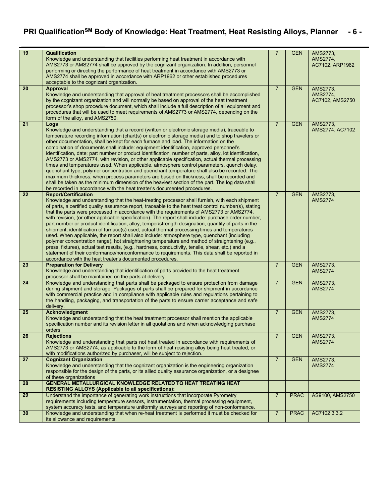### **PRI QualificationSM Body of Knowledge: Heat Treatment, Heat Resisting Alloys, Planner - 6 -**

| 19 | Qualification                                                                                              | $\overline{7}$ | <b>GEN</b>  | AMS2773,        |
|----|------------------------------------------------------------------------------------------------------------|----------------|-------------|-----------------|
|    | Knowledge and understanding that facilities performing heat treatment in accordance with                   |                |             | AMS2774,        |
|    | AMS2773 or AMS2774 shall be approved by the cognizant organization. In addition, personnel                 |                |             | AC7102, ARP1962 |
|    | performing or directing the performance of heat treatment in accordance with AMS2773 or                    |                |             |                 |
|    | AMS2774 shall be approved in accordance with ARP1962 or other established procedures                       |                |             |                 |
|    | acceptable to the cognizant organization.                                                                  |                |             |                 |
| 20 | <b>Approval</b>                                                                                            | $\overline{7}$ | <b>GEN</b>  | AMS2773,        |
|    | Knowledge and understanding that approval of heat treatment processors shall be accomplished               |                |             | AMS2774,        |
|    | by the cognizant organization and will normally be based on approval of the heat treatment                 |                |             | AC7102, AMS2750 |
|    | processor's shop procedure document, which shall include a full description of all equipment and           |                |             |                 |
|    | procedures that will be used to meet requirements of AMS2773 or AMS2774, depending on the                  |                |             |                 |
|    | form of the alloy, and AMS2750.                                                                            |                |             |                 |
| 21 | Logs                                                                                                       | $\overline{7}$ | <b>GEN</b>  | AMS2773.        |
|    | Knowledge and understanding that a record (written or electronic storage media), traceable to              |                |             | AMS2774, AC7102 |
|    |                                                                                                            |                |             |                 |
|    | temperature recording information (chart(s) or electronic storage media) and to shop travelers or          |                |             |                 |
|    | other documentation, shall be kept for each furnace and load. The information on the                       |                |             |                 |
|    | combination of documents shall include: equipment identification, approved personnel's                     |                |             |                 |
|    | identification, date; part number or product identification, number of parts, alloy, lot identification,   |                |             |                 |
|    | AMS2773 or AMS2774, with revision, or other applicable specification, actual thermal processing            |                |             |                 |
|    | times and temperatures used. When applicable, atmosphere control parameters, quench delay,                 |                |             |                 |
|    | quenchant type, polymer concentration and quenchant temperature shall also be recorded. The                |                |             |                 |
|    | maximum thickness, when process parameters are based on thickness, shall be recorded and                   |                |             |                 |
|    | shall be taken as the minimum dimension of the heaviest section of the part. The log data shall            |                |             |                 |
|    | be recorded in accordance with the heat treater's documented procedures.                                   |                |             |                 |
| 22 | <b>Report/Certification</b>                                                                                | $\overline{7}$ | <b>GEN</b>  | AMS2773,        |
|    | Knowledge and understanding that the heat-treating processor shall furnish, with each shipment             |                |             | <b>AMS2774</b>  |
|    | of parts, a certified quality assurance report, traceable to the heat treat control number(s), stating     |                |             |                 |
|    | that the parts were processed in accordance with the requirements of AMS2773 or AMS2774,                   |                |             |                 |
|    | with revision, (or other applicable specification). The report shall include: purchase order number,       |                |             |                 |
|    | part number or product identification, alloy, temper/strength designation, quantity of parts in the        |                |             |                 |
|    | shipment, identification of furnace(s) used, actual thermal processing times and temperatures              |                |             |                 |
|    | used. When applicable, the report shall also include: atmosphere type, quenchant (including                |                |             |                 |
|    | polymer concentration range), hot straightening temperature and method of straightening (e.g.,             |                |             |                 |
|    | press, fixtures), actual test results, (e.g., hardness, conductivity, tensile, shear, etc.) and a          |                |             |                 |
|    | statement of their conformance/nonconformance to requirements. This data shall be reported in              |                |             |                 |
|    | accordance with the heat treater's documented procedures.                                                  |                |             |                 |
| 23 | <b>Preparation for Delivery</b>                                                                            | $\overline{7}$ | <b>GEN</b>  | AMS2773,        |
|    | Knowledge and understanding that identification of parts provided to the heat treatment                    |                |             | <b>AMS2774</b>  |
|    | processor shall be maintained on the parts at delivery.                                                    |                |             |                 |
| 24 | Knowledge and understanding that parts shall be packaged to ensure protection from damage                  | $\overline{7}$ | <b>GEN</b>  | AMS2773,        |
|    | during shipment and storage. Packages of parts shall be prepared for shipment in accordance                |                |             | <b>AMS2774</b>  |
|    | with commercial practice and in compliance with applicable rules and requlations pertaining to             |                |             |                 |
|    | the handling, packaging, and transportation of the parts to ensure carrier acceptance and safe             |                |             |                 |
|    | delivery.                                                                                                  |                |             |                 |
| 25 | <b>Acknowledgment</b>                                                                                      | $\overline{7}$ | <b>GEN</b>  | AMS2773,        |
|    | Knowledge and understanding that the heat treatment processor shall mention the applicable                 |                |             | <b>AMS2774</b>  |
|    | specification number and its revision letter in all quotations and when acknowledging purchase             |                |             |                 |
|    | orders                                                                                                     |                |             |                 |
| 26 | <b>Rejections</b>                                                                                          | $\overline{7}$ | <b>GEN</b>  | AMS2773,        |
|    | Knowledge and understanding that parts not heat treated in accordance with requirements of                 |                |             | <b>AMS2774</b>  |
|    | AMS2773 or AMS2774, as applicable to the form of heat resisting alloy being heat treated, or               |                |             |                 |
|    |                                                                                                            |                |             |                 |
| 27 | with modifications authorized by purchaser, will be subject to rejection.<br><b>Cognizant Organization</b> | $\overline{7}$ | <b>GEN</b>  |                 |
|    |                                                                                                            |                |             | AMS2773,        |
|    | Knowledge and understanding that the cognizant organization is the engineering organization                |                |             | <b>AMS2774</b>  |
|    | responsible for the design of the parts, or its allied quality assurance organization, or a designee       |                |             |                 |
|    | of these organizations                                                                                     |                |             |                 |
| 28 | <b>GENERAL METALLURGICAL KNOWLEDGE RELATED TO HEAT TREATING HEAT</b>                                       |                |             |                 |
|    | <b>RESISTING ALLOYS (Applicable to all specifications):</b>                                                |                |             |                 |
| 29 | Understand the importance of generating work instructions that incorporate Pyrometry                       | $\overline{7}$ | <b>PRAC</b> | AS9100, AMS2750 |
|    | requirements including temperature sensors, instrumentation, thermal processing equipment,                 |                |             |                 |
|    | system accuracy tests, and temperature uniformity surveys and reporting of non-conformance.                |                |             |                 |
| 30 | Knowledge and understanding that when re-heat treatment is performed it must be checked for                | $\overline{7}$ | <b>PRAC</b> | AC7102 3.3.2    |
|    |                                                                                                            |                |             |                 |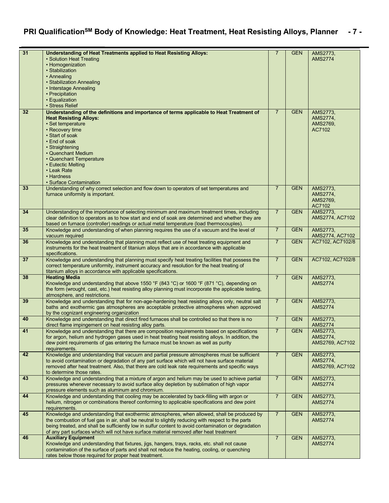# **PRI QualificationSM Body of Knowledge: Heat Treatment, Heat Resisting Alloys, Planner - 7 -**

| 31 | <b>Understanding of Heat Treatments applied to Heat Resisting Alloys:</b><br>• Solution Heat Treating<br>• Homogenization<br>• Stabilization<br>• Annealing<br>• Stabilization Annealing<br>• Interstage Annealing<br>• Precipitation<br>• Equalization<br>• Stress Relief                                                                                                                          | $\overline{7}$ | <b>GEN</b> | AMS2773,<br><b>AMS2774</b>                 |
|----|-----------------------------------------------------------------------------------------------------------------------------------------------------------------------------------------------------------------------------------------------------------------------------------------------------------------------------------------------------------------------------------------------------|----------------|------------|--------------------------------------------|
| 32 | Understanding of the definitions and importance of terms applicable to Heat Treatment of<br><b>Heat Resisting Alloys:</b><br>· Set temperature<br>• Recovery time<br>• Start of soak<br>• End of soak<br>• Straightening<br>• Quenchant Medium<br>• Quenchant Temperature<br>• Eutectic Melting<br>• Leak Rate<br>• Hardness<br>• Surface Contamination                                             | $\overline{7}$ | <b>GEN</b> | AMS2773,<br>AMS2774,<br>AMS2769,<br>AC7102 |
| 33 | Understanding of why correct selection and flow down to operators of set temperatures and<br>furnace uniformity is important.                                                                                                                                                                                                                                                                       | $\overline{7}$ | <b>GEN</b> | AMS2773,<br>AMS2774,<br>AMS2769,<br>AC7102 |
| 34 | Understanding of the importance of selecting minimum and maximum treatment times, including<br>clear definition to operators as to how start and end of soak are determined and whether they are<br>based on furnace (controller) readings or actual metal temperature (load thermocouples)                                                                                                         | $\overline{7}$ | <b>GEN</b> | AMS2773.<br>AMS2774, AC7102                |
| 35 | Knowledge and understanding of when planning requires the use of a vacuum and the level of<br>vacuum required                                                                                                                                                                                                                                                                                       | $\overline{7}$ | <b>GEN</b> | AMS2773,<br>AMS2774, AC7102                |
| 36 | Knowledge and understanding that planning must reflect use of heat treating equipment and<br>instruments for the heat treatment of titanium alloys that are in accordance with applicable<br>specifications.                                                                                                                                                                                        | $\overline{7}$ | <b>GEN</b> | AC7102, AC7102/8                           |
| 37 | Knowledge and understanding that planning must specify heat treating facilities that possess the<br>correct temperature uniformity, instrument accuracy and resolution for the heat treating of<br>titanium alloys in accordance with applicable specifications.                                                                                                                                    | $\overline{7}$ | <b>GEN</b> | AC7102, AC7102/8                           |
| 38 | <b>Heating Media</b><br>Knowledge and understanding that above 1550 °F (843 °C) or 1600 °F (871 °C), depending on<br>the form (wrought, cast, etc.) heat resisting alloy planning must incorporate the applicable testing,<br>atmosphere, and restrictions.                                                                                                                                         | $\overline{7}$ | <b>GEN</b> | AMS2773,<br><b>AMS2774</b>                 |
| 39 | Knowledge and understanding that for non-age-hardening heat resisting alloys only, neutral salt<br>baths and exothermic gas atmospheres are acceptable protective atmospheres when approved<br>by the cognizant engineering organization                                                                                                                                                            | $\overline{7}$ | <b>GEN</b> | AMS2773,<br><b>AMS2774</b>                 |
| 40 | Knowledge and understanding that direct fired furnaces shall be controlled so that there is no<br>direct flame impingement on heat resisting alloy parts.                                                                                                                                                                                                                                           | $\overline{7}$ | <b>GEN</b> | AMS2773,<br><b>AMS2774</b>                 |
| 41 | Knowledge and understanding that there are composition requirements based on specifications<br>for argon, helium and hydrogen gases used in heat treating heat resisting alloys. In addition, the<br>dew point requirements of gas entering the furnace must be known as well as purity<br>requirements.                                                                                            | $\overline{7}$ | <b>GEN</b> | AMS2773,<br>AMS2774,<br>AMS2769, AC7102    |
| 42 | Knowledge and understanding that vacuum and partial pressure atmospheres must be sufficient<br>to avoid contamination or degradation of any part surface which will not have surface material<br>removed after heat treatment. Also, that there are cold leak rate requirements and specific ways<br>to determine those rates.                                                                      | $\overline{7}$ | <b>GEN</b> | AMS2773,<br>AMS2774,<br>AMS2769, AC7102    |
| 43 | Knowledge and understanding that a mixture of argon and helium may be used to achieve partial<br>pressures whenever necessary to avoid surface alloy depletion by sublimation of high vapor<br>pressure elements such as aluminum and chromium.                                                                                                                                                     | $\overline{7}$ | <b>GEN</b> | AMS2773,<br><b>AMS2774</b>                 |
| 44 | Knowledge and understanding that cooling may be accelerated by back-filling with argon or<br>helium, nitrogen or combinations thereof conforming to applicable specifications and dew point<br>requirements.                                                                                                                                                                                        | $\overline{7}$ | <b>GEN</b> | AMS2773,<br><b>AMS2774</b>                 |
| 45 | Knowledge and understanding that exothermic atmospheres, when allowed, shall be produced by<br>the combustion of fuel gas in air, shall be neutral to slightly reducing with respect to the parts<br>being treated, and shall be sufficiently low in sulfur content to avoid contamination or degradation<br>of any part surfaces which will not have surface material removed after heat treatment | $\overline{7}$ | <b>GEN</b> | AMS2773,<br><b>AMS2774</b>                 |
| 46 | <b>Auxiliary Equipment</b><br>Knowledge and understanding that fixtures, jigs, hangers, trays, racks, etc. shall not cause<br>contamination of the surface of parts and shall not reduce the heating, cooling, or quenching<br>rates below those required for proper heat treatment.                                                                                                                | $\overline{7}$ | <b>GEN</b> | AMS2773,<br><b>AMS2774</b>                 |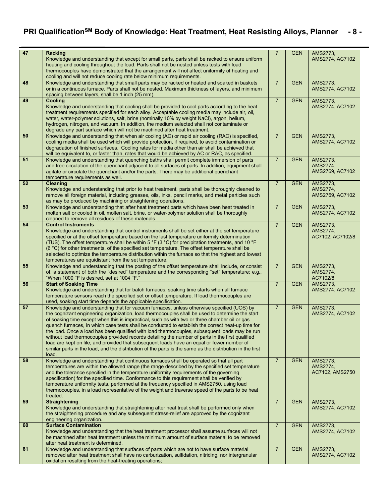# **PRI QualificationSM Body of Knowledge: Heat Treatment, Heat Resisting Alloys, Planner - 8 -**

| 47 | <b>Racking</b>                                                                                                                                                                                     | $\overline{7}$ | <b>GEN</b> | AMS2773,             |
|----|----------------------------------------------------------------------------------------------------------------------------------------------------------------------------------------------------|----------------|------------|----------------------|
|    | Knowledge and understanding that except for small parts, parts shall be racked to ensure uniform                                                                                                   |                |            | AMS2774, AC7102      |
|    | heating and cooling throughout the load. Parts shall not be nested unless tests with load                                                                                                          |                |            |                      |
|    | thermocouples have demonstrated that the arrangement will not affect uniformity of heating and                                                                                                     |                |            |                      |
|    | cooling and will not reduce cooling rate below minimum requirements.                                                                                                                               |                |            |                      |
| 48 | Knowledge and understanding that small parts may be racked or heated and soaked in baskets                                                                                                         | $\overline{7}$ | <b>GEN</b> | AMS2773,             |
|    | or in a continuous furnace. Parts shall not be nested. Maximum thickness of layers, and minimum                                                                                                    |                |            | AMS2774, AC7102      |
|    | spacing between layers, shall be 1 inch (25 mm).                                                                                                                                                   |                |            |                      |
| 49 | Cooling                                                                                                                                                                                            | $\overline{7}$ | <b>GEN</b> | AMS2773,             |
|    | Knowledge and understanding that cooling shall be provided to cool parts according to the heat                                                                                                     |                |            | AMS2774, AC7102      |
|    | treatment requirements specified for each alloy. Acceptable cooling media may include air, oil,                                                                                                    |                |            |                      |
|    | water, water-polymer solutions, salt, brine (nominally 10% by weight NaCl), argon, helium,                                                                                                         |                |            |                      |
|    | hydrogen, nitrogen, and vacuum. In addition, the medium selected shall not contaminate or                                                                                                          |                |            |                      |
|    | degrade any part surface which will not be machined after heat treatment.                                                                                                                          |                |            |                      |
| 50 | Knowledge and understanding that when air cooling (AC) or rapid air cooling (RAC) is specified,                                                                                                    | $\overline{7}$ | <b>GEN</b> | AMS2773,             |
|    | cooling media shall be used which will provide protection, if required, to avoid contamination or                                                                                                  |                |            | AMS2774, AC7102      |
|    | degradation of finished surfaces. Cooling rates for media other than air shall be achieved that                                                                                                    |                |            |                      |
| 51 | will be equivalent to, or faster than, rates that would be achieved by AC or RAC, as specified.                                                                                                    | $\overline{7}$ | <b>GEN</b> | AMS2773,             |
|    | Knowledge and understanding that quenching baths shall permit complete immersion of parts<br>and free circulation of the quenchant adjacent to all surfaces of parts. In addition, equipment shall |                |            | AMS2774,             |
|    | agitate or circulate the quenchant and/or the parts. There may be additional quenchant                                                                                                             |                |            | AMS2769, AC7102      |
|    | temperature requirements as well.                                                                                                                                                                  |                |            |                      |
| 52 | Cleaning                                                                                                                                                                                           | $\overline{7}$ | <b>GEN</b> | AMS2773,             |
|    | Knowledge and understanding that prior to heat treatment, parts shall be thoroughly cleaned to                                                                                                     |                |            | AMS2774,             |
|    | remove all foreign material, including greases, oils, inks, pencil marks, and metal particles such                                                                                                 |                |            | AMS2769, AC7102      |
|    | as may be produced by machining or straightening operations.                                                                                                                                       |                |            |                      |
| 53 | Knowledge and understanding that after heat treatment parts which have been heat treated in                                                                                                        | $\overline{7}$ | <b>GEN</b> | AMS2773,             |
|    | molten salt or cooled in oil, molten salt, brine, or water-polymer solution shall be thoroughly                                                                                                    |                |            | AMS2774, AC7102      |
|    | cleaned to remove all residues of these materials                                                                                                                                                  |                |            |                      |
| 54 | <b>Control Instruments</b>                                                                                                                                                                         | $\overline{7}$ | <b>GEN</b> | AMS2773,             |
|    | Knowledge and understanding that control instruments shall be set either at the set temperature                                                                                                    |                |            | AMS2774,             |
|    | specified or at the offset temperature based on the last temperature uniformity determination                                                                                                      |                |            | AC7102, AC7102/8     |
|    | (TUS). The offset temperature shall be within 5 °F (3 °C) for precipitation treatments, and 10 °F                                                                                                  |                |            |                      |
|    | (6 °C) for other treatments, of the specified set temperature. The offset temperature shall be                                                                                                     |                |            |                      |
|    | selected to optimize the temperature distribution within the furnace so that the highest and lowest                                                                                                |                |            |                      |
|    | temperatures are equidistant from the set temperature.                                                                                                                                             |                |            |                      |
| 55 | Knowledge and understanding that the posting of the offset temperature shall include, or consist                                                                                                   | $\overline{7}$ | <b>GEN</b> | AMS2773,             |
|    | of, a statement of both the "desired" temperature and the corresponding "set" temperature; e.g.,<br>"When 1000 °F is desired, set at 1004 °F."                                                     |                |            | AMS2774,<br>AC7102/8 |
| 56 | <b>Start of Soaking Time</b>                                                                                                                                                                       | $\overline{7}$ | <b>GEN</b> | AMS2773,             |
|    | Knowledge and understanding that for batch furnaces, soaking time starts when all furnace                                                                                                          |                |            | AMS2774, AC7102      |
|    | temperature sensors reach the specified set or offset temperature. If load thermocouples are                                                                                                       |                |            |                      |
|    | used, soaking start time depends the applicable specification.                                                                                                                                     |                |            |                      |
| 57 | Knowledge and understanding that for vacuum furnaces, unless otherwise specified (UOS) by                                                                                                          | $\overline{7}$ | <b>GEN</b> | AMS2773,             |
|    | the cognizant engineering organization, load thermocouples shall be used to determine the start                                                                                                    |                |            | AMS2774, AC7102      |
|    | of soaking time except when this is impractical, such as with two or three chamber oil or gas                                                                                                      |                |            |                      |
|    | quench furnaces, in which case tests shall be conducted to establish the correct heat-up time for                                                                                                  |                |            |                      |
|    | the load. Once a load has been qualified with load thermocouples, subsequent loads may be run                                                                                                      |                |            |                      |
|    | without load thermocouples provided records detailing the number of parts in the first qualified                                                                                                   |                |            |                      |
|    | load are kept on file, and provided that subsequent loads have an equal or fewer number of                                                                                                         |                |            |                      |
|    | similar parts in the load, and the distribution of the parts is the same as the distribution in the first                                                                                          |                |            |                      |
| 58 | load.                                                                                                                                                                                              | $\overline{7}$ | <b>GEN</b> |                      |
|    | Knowledge and understanding that continuous furnaces shall be operated so that all part                                                                                                            |                |            | AMS2773,<br>AMS2774, |
|    | temperatures are within the allowed range (the range described by the specified set temperature<br>and the tolerance specified in the temperature uniformity requirements of the governing         |                |            | AC7102, AMS2750      |
|    | specification) for the specified time. Conformance to this requirement shall be verified by                                                                                                        |                |            |                      |
|    | temperature uniformity tests, performed at the frequency specified in AMS2750, using load                                                                                                          |                |            |                      |
|    | thermocouples, in a load representative of the weight and traverse speed of the parts to be heat                                                                                                   |                |            |                      |
|    | treated.                                                                                                                                                                                           |                |            |                      |
| 59 | <b>Straightening</b>                                                                                                                                                                               | $\overline{7}$ | <b>GEN</b> | AMS2773,             |
|    | Knowledge and understanding that straightening after heat treat shall be performed only when                                                                                                       |                |            | AMS2774, AC7102      |
|    | the straightening procedure and any subsequent stress-relief are approved by the cognizant                                                                                                         |                |            |                      |
|    | engineering organization.                                                                                                                                                                          |                |            |                      |
| 60 | <b>Surface Contamination</b>                                                                                                                                                                       | $\overline{7}$ | <b>GEN</b> | AMS2773,             |
|    | Knowledge and understanding that the heat treatment processor shall assume surfaces will not                                                                                                       |                |            | AMS2774, AC7102      |
|    | be machined after heat treatment unless the minimum amount of surface material to be removed                                                                                                       |                |            |                      |
|    | after heat treatment is determined.                                                                                                                                                                |                |            |                      |
| 61 | Knowledge and understanding that surfaces of parts which are not to have surface material                                                                                                          | $\overline{7}$ | <b>GEN</b> | AMS2773,             |
|    | removed after heat treatment shall have no carburization, sulfidation, nitriding, nor intergranular                                                                                                |                |            | AMS2774, AC7102      |
|    | oxidation resulting from the heat-treating operations;                                                                                                                                             |                |            |                      |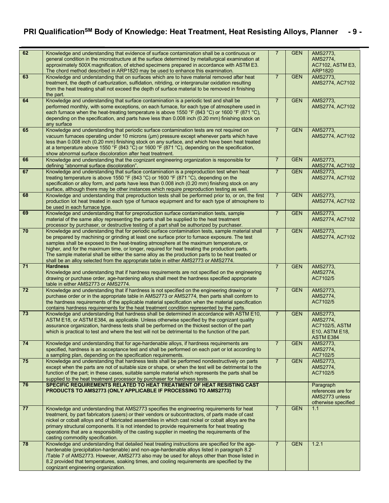# **PRI QualificationSM Body of Knowledge: Heat Treatment, Heat Resisting Alloys, Planner - 9 -**

| 62 | Knowledge and understanding that evidence of surface contamination shall be a continuous or<br>general condition in the microstructure at the surface determined by metallurgical examination at<br>approximately 500X magnification, of etched specimens prepared in accordance with ASTM E3.<br>The chord method described in ARP1820 may be used to enhance this examination.                                                                                                                                                                                                         | $\overline{7}$ | <b>GEN</b> | AMS2773,<br>AMS2774.<br>AC7102, ASTM E3,<br><b>ARP1820</b>               |
|----|------------------------------------------------------------------------------------------------------------------------------------------------------------------------------------------------------------------------------------------------------------------------------------------------------------------------------------------------------------------------------------------------------------------------------------------------------------------------------------------------------------------------------------------------------------------------------------------|----------------|------------|--------------------------------------------------------------------------|
| 63 | Knowledge and understanding that on surfaces which are to have material removed after heat<br>treatment, the depth of carburization, sulfidation, nitriding, or intergranular oxidation resulting<br>from the heat treating shall not exceed the depth of surface material to be removed in finishing<br>the part.                                                                                                                                                                                                                                                                       | $\overline{7}$ | <b>GEN</b> | AMS2773,<br>AMS2774, AC7102                                              |
| 64 | Knowledge and understanding that surface contamination is a periodic test and shall be<br>performed monthly, with some exceptions, on each furnace, for each type of atmosphere used in<br>each furnace when the heat-treating temperature is above 1550 °F (843 °C) or 1600 °F (871 °C),<br>depending on the specification, and parts have less than 0.008 inch (0.20 mm) finishing stock on<br>any surface                                                                                                                                                                             | $\overline{7}$ | <b>GEN</b> | AMS2773,<br>AMS2774, AC7102                                              |
| 65 | Knowledge and understanding that periodic surface contamination tests are not required on<br>vacuum furnaces operating under 10 microns (µm) pressure except whenever parts which have<br>less than 0.008 inch (0.20 mm) finishing stock on any surface, and which have been heat treated<br>at a temperature above 1550 °F (843 °C) or 1600 °F (871 °C), depending on the specification,<br>show abnormal surface discoloration after heat treatment.                                                                                                                                   | $\overline{7}$ | <b>GEN</b> | AMS2773,<br>AMS2774, AC7102                                              |
| 66 | Knowledge and understanding that the cognizant engineering organization is responsible for<br>defining "abnormal surface discoloration".                                                                                                                                                                                                                                                                                                                                                                                                                                                 | $\overline{7}$ | <b>GEN</b> | AMS2773,<br>AMS2774, AC7102                                              |
| 67 | Knowledge and understanding that surface contamination is a preproduction test when heat<br>treating temperature is above 1550 °F (843 °C) or 1600 °F (871 °C), depending on the<br>specification or alloy form, and parts have less than 0.008 inch (0.20 mm) finishing stock on any<br>surface, although there may be other instances which require preproduction testing as well.                                                                                                                                                                                                     | $\overline{7}$ | <b>GEN</b> | AMS2773,<br>AMS2774, AC7102                                              |
| 68 | Knowledge and understanding that preproduction tests shall be performed prior to, or on, the first<br>production lot heat treated in each type of furnace equipment and for each type of atmosphere to<br>be used in each furnace type.                                                                                                                                                                                                                                                                                                                                                  | $\overline{7}$ | <b>GEN</b> | AMS2773,<br>AMS2774, AC7102                                              |
| 69 | Knowledge and understanding that for preproduction surface contamination tests, sample<br>material of the same alloy representing the parts shall be supplied to the heat treatment<br>processor by purchaser, or destructive testing of a part shall be authorized by purchaser.                                                                                                                                                                                                                                                                                                        | $\overline{7}$ | <b>GEN</b> | AMS2773,<br>AMS2774, AC7102                                              |
| 70 | Knowledge and understanding that for periodic surface contamination tests, sample material shall<br>be prepared by machining or grinding at least one surface prior to furnace exposure. The test<br>samples shall be exposed to the heat-treating atmosphere at the maximum temperature, or<br>higher, and for the maximum time, or longer, required for heat treating the production parts.<br>The sample material shall be either the same alloy as the production parts to be heat treated or<br>shall be an alloy selected from the appropriate table in either AMS2773 or AMS2774. | $\overline{7}$ | <b>GEN</b> | AMS2773,<br>AMS2774, AC7102                                              |
| 71 | <b>Hardness</b><br>Knowledge and understanding that if hardness requirements are not specified on the engineering<br>drawing or purchase order, age-hardening alloys shall meet the hardness specified appropriate<br>table in either AMS2773 or AMS2774.                                                                                                                                                                                                                                                                                                                                | $\overline{7}$ | <b>GEN</b> | AMS2773,<br>AMS2774,<br>AC7102/5                                         |
| 72 | Knowledge and understanding that if hardness is not specified on the engineering drawing or<br>purchase order or in the appropriate table in AMS2773 or AMS2774, then parts shall conform to<br>the hardness requirements of the applicable material specification when the material specification<br>contains hardness requirements for the heat treatment condition represented by the parts.                                                                                                                                                                                          | $\overline{7}$ | <b>GEN</b> | AMS2773,<br>AMS2774.<br>AC7102/5                                         |
| 73 | Knowledge and understanding that hardness shall be determined in accordance with ASTM E10,<br>ASTM E18, or ASTM E384, as applicable. Unless otherwise specified by the cognizant quality<br>assurance organization, hardness tests shall be performed on the thickest section of the part<br>which is practical to test and where the test will not be detrimental to the function of the part.                                                                                                                                                                                          | $\overline{7}$ | <b>GEN</b> | AMS2773,<br>AMS2774,<br>AC7102/5, ASTM<br>E10, ASTM E18,<br>ASTM E384    |
| 74 | Knowledge and understanding that for age-hardenable alloys, if hardness requirements are<br>specified, hardness is an acceptance test and shall be performed on each part or lot according to<br>a sampling plan, depending on the specification requirements.                                                                                                                                                                                                                                                                                                                           | $\overline{7}$ | <b>GEN</b> | AMS2773,<br>AMS2774,<br>AC7102/5                                         |
| 75 | Knowledge and understanding that hardness tests shall be performed nondestructively on parts<br>except when the parts are not of suitable size or shape, or when the test will be detrimental to the<br>function of the part; in these cases, suitable sample material which represents the parts shall be<br>supplied to the heat treatment processor by purchaser for hardness tests.                                                                                                                                                                                                  | $\overline{7}$ | <b>GEN</b> | AMS2773,<br>AMS2774,<br>AC7102/5                                         |
| 76 | SPECIFIC REQUIREMENTS RELATED TO HEAT TREATMENT OF HEAT RESISTING CAST<br>PRODUCTS TO AMS2773 (ONLY APPLICABLE IF PROCESSING TO AMS2773)                                                                                                                                                                                                                                                                                                                                                                                                                                                 |                |            | Paragraph<br>references are for<br>AMS2773 unless<br>otherwise specified |
| 77 | Knowledge and understanding that AMS2773 specifies the engineering requirements for heat<br>treatment, by part fabricators (users) or their vendors or subcontractors, of parts made of cast<br>nickel or cobalt alloys and of fabricated assemblies in which cast nickel or cobalt alloys are the<br>primary structural components. It is not intended to provide requirements for heat treating<br>operations that are a responsibility of the casting supplier in meeting the requirements of the<br>casting commodity specification.                                                 | $\overline{7}$ | <b>GEN</b> | 1.1                                                                      |
| 78 | Knowledge and understanding that detailed heat treating instructions are specified for the age-<br>hardenable (precipitation-hardenable) and non-age-hardenable alloys listed in paragraph 8.2<br>/Table 7 of AMS2773. However, AMS2773 also may be used for alloys other than those listed in<br>8.2 provided that temperatures, soaking times, and cooling requirements are specified by the<br>cognizant engineering organization.                                                                                                                                                    | $\overline{7}$ | <b>GEN</b> | 1.2.1                                                                    |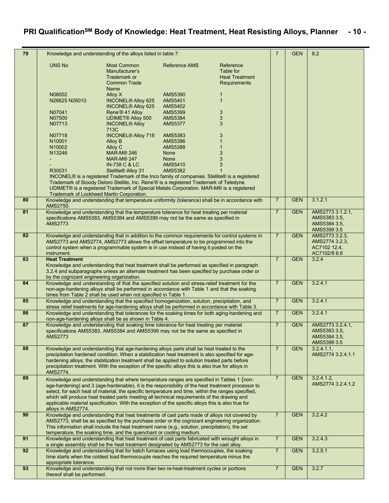# **PRI QualificationSM Body of Knowledge: Heat Treatment, Heat Resisting Alloys, Planner - 10 -**

| 79 |                                            | Knowledge and understanding of the alloys listed in table 7:                                                                                                                                          |                                  |                       | $\overline{7}$ | <b>GEN</b> | 8.2                              |
|----|--------------------------------------------|-------------------------------------------------------------------------------------------------------------------------------------------------------------------------------------------------------|----------------------------------|-----------------------|----------------|------------|----------------------------------|
|    | <b>UNS No</b>                              | <b>Most Common</b>                                                                                                                                                                                    | <b>Reference AMS</b>             | Reference             |                |            |                                  |
|    |                                            | Manufacturer's                                                                                                                                                                                        |                                  | Table for             |                |            |                                  |
|    |                                            | Trademark or                                                                                                                                                                                          |                                  | <b>Heat Treatment</b> |                |            |                                  |
|    |                                            | <b>Common Trade</b>                                                                                                                                                                                   |                                  | <b>Requirements</b>   |                |            |                                  |
|    |                                            | Name                                                                                                                                                                                                  |                                  |                       |                |            |                                  |
|    | N06002<br>N26625 N26010                    | Alloy X<br><b>INCONEL® Alloy 625</b>                                                                                                                                                                  | <b>AMS5390</b><br><b>AMS5401</b> | 1<br>$\mathbf{1}$     |                |            |                                  |
|    |                                            | <b>INCONEL® Alloy 625</b>                                                                                                                                                                             | <b>AMS5402</b>                   |                       |                |            |                                  |
|    | N07041                                     | Rene'® 41 Alloy                                                                                                                                                                                       | <b>AMS5399</b>                   | 3                     |                |            |                                  |
|    | N07500                                     | <b>UDIMET® Alloy 500</b>                                                                                                                                                                              | <b>AMS5384</b>                   | 3                     |                |            |                                  |
|    | N07713                                     | <b>INCONEL® Alloy</b>                                                                                                                                                                                 | <b>AMS5377</b>                   | 3                     |                |            |                                  |
|    |                                            | 713C                                                                                                                                                                                                  |                                  |                       |                |            |                                  |
|    | N07718<br>N <sub>10001</sub>               | <b>INCONEL® Alloy 718</b><br><b>Alloy B</b>                                                                                                                                                           | AMS5383<br><b>AMS5396</b>        | 3                     |                |            |                                  |
|    | N <sub>10002</sub>                         | Alloy C                                                                                                                                                                                               | <b>AMS5388</b>                   |                       |                |            |                                  |
|    | N13246                                     | <b>MAR-M® 246</b>                                                                                                                                                                                     | <b>None</b>                      | 3                     |                |            |                                  |
|    |                                            | <b>MAR-M® 247</b>                                                                                                                                                                                     | None                             | 3                     |                |            |                                  |
|    |                                            | <b>IN-738 C &amp; LC</b>                                                                                                                                                                              | <b>AMS5410</b>                   | 3                     |                |            |                                  |
|    | R30031                                     | Stellite® Alloy 31                                                                                                                                                                                    | <b>AMS5382</b>                   |                       |                |            |                                  |
|    |                                            | INCONEL® is a registered Trademark of the Inco family of companies. Stellite® is a registered<br>Trademark of Stoody Deloro Stellite, Inc. Rene'® is a registered Trademark of Teledyne.              |                                  |                       |                |            |                                  |
|    |                                            | UDIMET® is a registered Trademark of Special Metals Corporation. MAR-M® is a registered                                                                                                               |                                  |                       |                |            |                                  |
|    | Trademark of Lockheed Martin Corporation.  |                                                                                                                                                                                                       |                                  |                       |                |            |                                  |
| 80 |                                            | Knowledge and understanding that temperature uniformity (tolerance) shall be in accordance with                                                                                                       |                                  |                       | $\overline{7}$ | <b>GEN</b> | 3.1.2.1                          |
|    | AMS2750.                                   |                                                                                                                                                                                                       |                                  |                       |                |            |                                  |
| 81 |                                            | Knowledge and understanding that the temperature tolerance for heat treating per material<br>specifications AMS5383, AMS5384 and AMS5399 may not be the same as specified in                          |                                  |                       | $\overline{7}$ | <b>GEN</b> | AMS2773 3.1.2.1,<br>AMS5383 3.5, |
|    | <b>AMS2773</b>                             |                                                                                                                                                                                                       |                                  |                       |                |            | AMS5384 3.5,                     |
|    |                                            |                                                                                                                                                                                                       |                                  |                       |                |            | AMS5399 3.5                      |
| 82 |                                            | Knowledge and understanding that in addition to the common requirements for control systems in                                                                                                        |                                  |                       | $\overline{7}$ | <b>GEN</b> | AMS2773 3.2.3,                   |
|    |                                            | AMS2773 and AMS2774, AMS2773 allows the offset temperature to be programmed into the                                                                                                                  |                                  |                       |                |            | AMS2774 3.2.3.                   |
|    |                                            | control system when a programmable system is in use instead of having it posted on the                                                                                                                |                                  |                       |                |            | AC7102 12.4,                     |
| 83 | instrument.<br><b>Heat Treatment</b>       |                                                                                                                                                                                                       |                                  |                       | $\overline{7}$ | <b>GEN</b> | AC7102/8 6.6<br>3.2.4            |
|    |                                            | Knowledge and understanding that heat treatment shall be performed as specified in paragraph                                                                                                          |                                  |                       |                |            |                                  |
|    |                                            | 3.2.4 and subparagraphs unless an alternate treatment has been specified by purchase order or                                                                                                         |                                  |                       |                |            |                                  |
|    | by the cognizant engineering organization. |                                                                                                                                                                                                       |                                  |                       |                |            |                                  |
| 84 |                                            | Knowledge and understanding of that the specified solution and stress-relief treatment for the                                                                                                        |                                  |                       | $\overline{7}$ | <b>GEN</b> | 3.2.4.1                          |
|    |                                            | non-age-hardening alloys shall be performed in accordance with Table 1 and that the soaking<br>times from Table 2 shall be used when not specified in Table 1.                                        |                                  |                       |                |            |                                  |
| 85 |                                            | Knowledge and understanding that the specified homogenization, solution, precipitation, and                                                                                                           |                                  |                       | $7^{\circ}$    | <b>GEN</b> | 3.2.4.1                          |
|    |                                            | stress relief treatments for age-hardening alloys shall be performed in accordance with Table 3.                                                                                                      |                                  |                       |                |            |                                  |
| 86 |                                            | Knowledge and understanding that tolerances for the soaking times for both aging-hardening and                                                                                                        |                                  |                       | $\overline{7}$ | <b>GEN</b> | 3.2.4.1                          |
| 87 |                                            | non-age-hardening alloys shall be as shown in Table 4.<br>Knowledge and understanding that soaking time tolerance for heat treating per material                                                      |                                  |                       | $\overline{7}$ | <b>GEN</b> | AMS2773 3.2.4.1,                 |
|    |                                            | specifications AMS5383, AMS5384 and AMS5399 may not be the same as specified in                                                                                                                       |                                  |                       |                |            | AMS5383 3.5,                     |
|    | <b>AMS2773</b>                             |                                                                                                                                                                                                       |                                  |                       |                |            | AMS5384 3.5,                     |
|    |                                            |                                                                                                                                                                                                       |                                  |                       |                |            | AMS5399 3.5                      |
| 88 |                                            | Knowledge and understanding that age-hardening alloys parts shall be heat treated to the                                                                                                              |                                  |                       | $\overline{7}$ | <b>GEN</b> | 3.2.4.1.1                        |
|    |                                            | precipitation hardened condition. When a stabilization heat treatment is also specified for age-                                                                                                      |                                  |                       |                |            | AMS2774 3.2.4.1.1                |
|    |                                            | hardening alloys, the stabilization treatment shall be applied to solution treated parts before<br>precipitation treatment. With the exception of the specific alloys this is also true for alloys in |                                  |                       |                |            |                                  |
|    | AMS2774.                                   |                                                                                                                                                                                                       |                                  |                       |                |            |                                  |
| 89 |                                            | Knowledge and understanding that where temperature ranges are specified in Tables 1 (non-                                                                                                             |                                  |                       | $\overline{7}$ | <b>GEN</b> | 3.2.4.1.2                        |
|    |                                            | age-hardening) and 3 (age-hardenable), it is the responsibility of the heat treatment processor to                                                                                                    |                                  |                       |                |            | AMS2774 3.2.4.1.2                |
|    |                                            | select, for each heat of material, the specific temperature and time, within the ranges specified,                                                                                                    |                                  |                       |                |            |                                  |
|    |                                            | which will produce heat treated parts meeting all technical requirements of the drawing and                                                                                                           |                                  |                       |                |            |                                  |
|    | alloys in AMS2774.                         | applicable material specification. With the exception of the specific alloys this is also true for                                                                                                    |                                  |                       |                |            |                                  |
| 90 |                                            | Knowledge and understanding that heat treatments of cast parts made of alloys not covered by                                                                                                          |                                  |                       | $\overline{7}$ | <b>GEN</b> | 3.2.4.2                          |
|    |                                            | AMS2773, shall be as specified by the purchase order or the cognizant engineering organization.                                                                                                       |                                  |                       |                |            |                                  |
|    |                                            | This information shall include the heat treatment name (e.g., solution, precipitation), the set                                                                                                       |                                  |                       |                |            |                                  |
|    |                                            | temperature, the soaking time, and the quenchant or cooling medium.                                                                                                                                   |                                  |                       |                |            |                                  |
| 91 |                                            | Knowledge and understanding that heat treatment of cast parts fabricated with wrought alloys in<br>a single assembly shall be the heat treatment designated by AMS2773 for the cast alloy.            |                                  |                       | $\overline{7}$ | <b>GEN</b> | 3.2.4.3                          |
| 92 |                                            | Knowledge and understanding that for batch furnaces using load thermocouples, the soaking                                                                                                             |                                  |                       | $\overline{7}$ | <b>GEN</b> | 3.2.5.1                          |
|    |                                            | time starts when the coldest load thermocouple reaches the required temperature minus the                                                                                                             |                                  |                       |                |            |                                  |
|    | appropriate tolerance.                     |                                                                                                                                                                                                       |                                  |                       |                |            |                                  |
| 93 |                                            | Knowledge and understanding that not more than two re-heat-treatment cycles or portions                                                                                                               |                                  |                       | $\overline{7}$ | <b>GEN</b> | 3.2.7                            |
|    | thereof shall be performed.                |                                                                                                                                                                                                       |                                  |                       |                |            |                                  |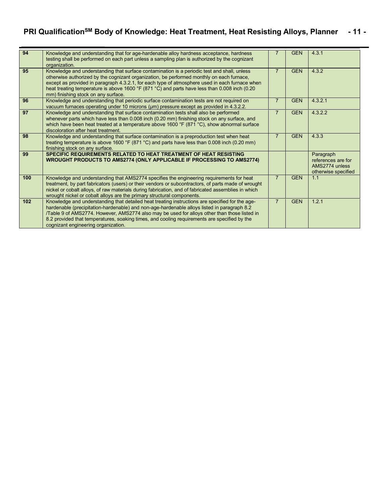# **PRI QualificationSM Body of Knowledge: Heat Treatment, Heat Resisting Alloys, Planner - 11 -**

| 94  | Knowledge and understanding that for age-hardenable alloy hardness acceptance, hardness<br>testing shall be performed on each part unless a sampling plan is authorized by the cognizant<br>organization.                                                                                                                                                                                                                             | $\overline{7}$ | <b>GEN</b> | 4.3.1                                                                    |
|-----|---------------------------------------------------------------------------------------------------------------------------------------------------------------------------------------------------------------------------------------------------------------------------------------------------------------------------------------------------------------------------------------------------------------------------------------|----------------|------------|--------------------------------------------------------------------------|
| 95  | Knowledge and understanding that surface contamination is a periodic test and shall, unless<br>otherwise authorized by the cognizant organization, be performed monthly on each furnace,<br>except as provided in paragraph 4.3.2.1, for each type of atmosphere used in each furnace when<br>heat treating temperature is above 1600 °F (871 °C) and parts have less than 0.008 inch (0.20<br>mm) finishing stock on any surface.    | $\overline{7}$ | <b>GEN</b> | 4.3.2                                                                    |
| 96  | Knowledge and understanding that periodic surface contamination tests are not required on<br>vacuum furnaces operating under 10 microns (µm) pressure except as provided in 4.3.2.2.                                                                                                                                                                                                                                                  | $\overline{7}$ | <b>GEN</b> | 4.3.2.1                                                                  |
| 97  | Knowledge and understanding that surface contamination tests shall also be performed<br>whenever parts which have less than 0.008 inch (0.20 mm) finishing stock on any surface, and<br>which have been heat treated at a temperature above 1600 °F (871 °C), show abnormal surface<br>discoloration after heat treatment.                                                                                                            | $\overline{7}$ | <b>GEN</b> | 4.3.2.2                                                                  |
| 98  | Knowledge and understanding that surface contamination is a preproduction test when heat<br>treating temperature is above 1600 °F (871 °C) and parts have less than 0.008 inch (0.20 mm)<br>finishing stock on any surface.                                                                                                                                                                                                           | $\overline{7}$ | <b>GEN</b> | 4.3.3                                                                    |
| 99  | SPECIFIC REQUIREMENTS RELATED TO HEAT TREATMENT OF HEAT RESISTING<br>WROUGHT PRODUCTS TO AMS2774 (ONLY APPLICABLE IF PROCESSING TO AMS2774)                                                                                                                                                                                                                                                                                           |                |            | Paragraph<br>references are for<br>AMS2774 unless<br>otherwise specified |
| 100 | Knowledge and understanding that AMS2774 specifies the engineering requirements for heat<br>treatment, by part fabricators (users) or their vendors or subcontractors, of parts made of wrought<br>nickel or cobalt alloys, of raw materials during fabrication, and of fabricated assemblies in which<br>wrought nickel or cobalt alloys are the primary structural components.                                                      | $\overline{7}$ | <b>GEN</b> | 1.1                                                                      |
| 102 | Knowledge and understanding that detailed heat treating instructions are specified for the age-<br>hardenable (precipitation-hardenable) and non-age-hardenable alloys listed in paragraph 8.2<br>/Table 9 of AMS2774. However, AMS2774 also may be used for alloys other than those listed in<br>8.2 provided that temperatures, soaking times, and cooling requirements are specified by the<br>cognizant engineering organization. | $\overline{7}$ | <b>GEN</b> | 1.2.1                                                                    |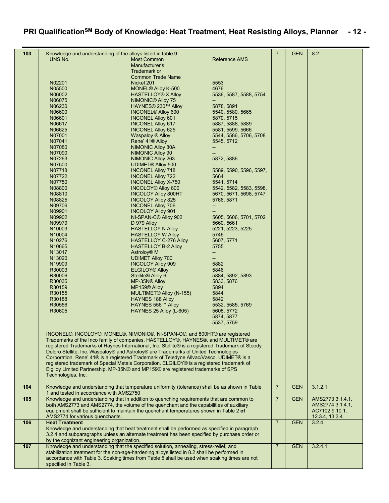# **PRI QualificationSM Body of Knowledge: Heat Treatment, Heat Resisting Alloys, Planner - 12 -**

| 103 | Knowledge and understanding of the alloys listed in table 9:                                      |                                      |                          | $\overline{7}$ | <b>GEN</b> | 8.2              |
|-----|---------------------------------------------------------------------------------------------------|--------------------------------------|--------------------------|----------------|------------|------------------|
|     | UNS No.                                                                                           | <b>Most Common</b>                   | Reference AMS            |                |            |                  |
|     |                                                                                                   | Manufacturer's                       |                          |                |            |                  |
|     |                                                                                                   | Trademark or                         |                          |                |            |                  |
|     |                                                                                                   | <b>Common Trade Name</b>             |                          |                |            |                  |
|     | N02201                                                                                            |                                      | 5553                     |                |            |                  |
|     |                                                                                                   | Nickel 201                           |                          |                |            |                  |
|     | N05500                                                                                            | <b>MONEL<sup>®</sup></b> Alloy K-500 | 4676                     |                |            |                  |
|     | N06002                                                                                            | <b>HASTELLOY® X Alloy</b>            | 5536, 5587, 5588, 5754   |                |            |                  |
|     | N06075                                                                                            | <b>NIMONIC® Alloy 75</b>             |                          |                |            |                  |
|     | N06230                                                                                            | HAYNES <sup>®</sup> 230™ Alloy       | 5878, 5891               |                |            |                  |
|     | N06600                                                                                            | <b>INCONEL<sup>®</sup></b> Alloy 600 | 5540, 5580, 5665         |                |            |                  |
|     | N06601                                                                                            | <b>INCONEL Alloy 601</b>             | 5870, 5715               |                |            |                  |
|     | N06617                                                                                            | <b>INCONEL Alloy 617</b>             | 5887, 5888, 5889         |                |            |                  |
|     | N06625                                                                                            | <b>INCONEL Alloy 625</b>             | 5581, 5599, 5666         |                |            |                  |
|     | N07001                                                                                            | Waspaloy ® Alloy                     | 5544, 5586, 5706, 5708   |                |            |                  |
|     | N07041                                                                                            | Rene' 41 <sup>®</sup> Alloy          | 5545, 5712               |                |            |                  |
|     | N07080                                                                                            | <b>NIMONIC Alloy 80A</b>             | $\overline{\phantom{a}}$ |                |            |                  |
|     | N07090                                                                                            | NIMONIC Alloy 90                     |                          |                |            |                  |
|     | N07263                                                                                            | <b>NIMONIC Alloy 263</b>             | 5872, 5886               |                |            |                  |
|     | N07500                                                                                            | <b>UDIMET® Alloy 500</b>             |                          |                |            |                  |
|     | N07718                                                                                            |                                      |                          |                |            |                  |
|     |                                                                                                   | <b>INCONEL Alloy 718</b>             | 5589, 5590, 5596, 5597,  |                |            |                  |
|     | N07722                                                                                            | <b>INCONEL Alloy 722</b>             | 5664                     |                |            |                  |
|     | N07750                                                                                            | <b>INCONEL Allov X-750</b>           | 5541, 5714               |                |            |                  |
|     | N08800                                                                                            | <b>INCOLOY® Alloy 800</b>            | 5542, 5582, 5583, 5598,  |                |            |                  |
|     | N08810                                                                                            | <b>INCOLOY Alloy 800HT</b>           | 5670, 5671, 5698, 5747   |                |            |                  |
|     | N08825                                                                                            | <b>INCOLOY Alloy 825</b>             | 5766, 5871               |                |            |                  |
|     | N09706                                                                                            | <b>INCONEL Alloy 706</b>             | $\overline{\phantom{a}}$ |                |            |                  |
|     | N09901                                                                                            | <b>INCOLOY Alloy 901</b>             |                          |                |            |                  |
|     | N09902                                                                                            | NI-SPAN-C <sup>®</sup> Alloy 902     | 5605, 5606, 5701, 5702   |                |            |                  |
|     | N09979                                                                                            | D 979 Alloy                          | 5660, 5661               |                |            |                  |
|     | N10003                                                                                            | <b>HASTELLOY N Alloy</b>             | 5221, 5223, 5225         |                |            |                  |
|     | N10004                                                                                            | <b>HASTELLOY W Alloy</b>             | 5746                     |                |            |                  |
|     | N10276                                                                                            | <b>HASTELLOY C-276 Alloy</b>         | 5607, 5771               |                |            |                  |
|     | N10665                                                                                            |                                      | 5755                     |                |            |                  |
|     |                                                                                                   | <b>HASTELLOY B-2 Alloy</b>           |                          |                |            |                  |
|     | N13017                                                                                            | Astroloy <sup>®</sup> M              | $\overline{\phantom{a}}$ |                |            |                  |
|     | N13020                                                                                            | <b>UDIMET Alloy 700</b>              |                          |                |            |                  |
|     | N19909                                                                                            | <b>INCOLOY Alloy 909</b>             | 5882                     |                |            |                  |
|     | R30003                                                                                            | <b>ELGILOY® Alloy</b>                | 5846                     |                |            |                  |
|     | R30006                                                                                            | Stellite® Alloy 6                    | 5884, 5892, 5893         |                |            |                  |
|     | R30035                                                                                            | MP-35N® Alloy                        | 5833, 5876               |                |            |                  |
|     | R30159                                                                                            | MP159® Alloy                         | 5894                     |                |            |                  |
|     | R30155                                                                                            | MULTIMET <sup>®</sup> Alloy (N-155)  | 5844                     |                |            |                  |
|     | R30188                                                                                            | <b>HAYNES 188 Alloy</b>              | 5842                     |                |            |                  |
|     | R30556                                                                                            | HAYNES 556™ Alloy                    | 5532, 5585, 5769         |                |            |                  |
|     | R30605                                                                                            | HAYNES 25 Alloy (L-605)              | 5608, 5772               |                |            |                  |
|     |                                                                                                   |                                      | 5874, 5877               |                |            |                  |
|     |                                                                                                   |                                      | 5537, 5759               |                |            |                  |
|     |                                                                                                   |                                      |                          |                |            |                  |
|     | INCONEL®. INCOLOY®, MONEL®, NIMONIC®, NI-SPAN-C®, and 800HT® are registered                       |                                      |                          |                |            |                  |
|     | Trademarks of the Inco family of companies. HASTELLOY®, HAYNES®, and MULTIMET® are                |                                      |                          |                |            |                  |
|     |                                                                                                   |                                      |                          |                |            |                  |
|     | registered Trademarks of Haynes International, Inc. Stellite® is a registered Trademark of Stoody |                                      |                          |                |            |                  |
|     | Deloro Stellite, Inc. Waspaloy® and Astroloy® are Trademarks of United Technologies               |                                      |                          |                |            |                  |
|     | Corporation. Rene' 41® is a registered Trademark of Teledyne Allvac/Vasco. UDIMET® is a           |                                      |                          |                |            |                  |
|     | registered trademark of Special Metals Corporation. ELGILOY® is a registered trademark of         |                                      |                          |                |            |                  |
|     | Elgiloy Limited Partnership. MP-35N® and MP159® are registered trademarks of SPS                  |                                      |                          |                |            |                  |
|     | Technologies, Inc.                                                                                |                                      |                          |                |            |                  |
|     |                                                                                                   |                                      |                          |                |            |                  |
| 104 | Knowledge and understanding that temperature uniformity (tolerance) shall be as shown in Table    |                                      |                          | $\overline{7}$ | <b>GEN</b> | 3.1.2.1          |
|     | 1 and tested in accordance with AMS2750                                                           |                                      |                          |                |            |                  |
| 105 | Knowledge and understanding that in addition to quenching requirements that are common to         |                                      |                          | $\overline{7}$ | <b>GEN</b> | AMS2773 3.1.4.1, |
|     | both AMS2773 and AMS2774, the volume of the quenchant and the capabilities of auxiliary           |                                      |                          |                |            | AMS2774 3.1.4.1, |
|     | equipment shall be sufficient to maintain the quenchant temperatures shown in Table 2 of          |                                      |                          |                |            | AC7102 9.10.1,   |
|     | AMS2774 for various quenchants.                                                                   |                                      |                          |                |            | 12.3.4, 13.3.4   |
| 106 | <b>Heat Treatment</b>                                                                             |                                      |                          | $\overline{7}$ | <b>GEN</b> | 3.2.4            |
|     | Knowledge and understanding that heat treatment shall be performed as specified in paragraph      |                                      |                          |                |            |                  |
|     | 3.2.4 and subparagraphs unless an alternate treatment has been specified by purchase order or     |                                      |                          |                |            |                  |
|     | by the cognizant engineering organization.                                                        |                                      |                          |                |            |                  |
| 107 | Knowledge and understanding that the specified solution, annealing, stress-relief, and            |                                      |                          | $\overline{7}$ | <b>GEN</b> | 3.2.4.1          |
|     | stabilization treatment for the non-age-hardening alloys listed in 8.2 shall be performed in      |                                      |                          |                |            |                  |
|     | accordance with Table 3. Soaking times from Table 5 shall be used when soaking times are not      |                                      |                          |                |            |                  |
|     | specified in Table 3.                                                                             |                                      |                          |                |            |                  |
|     |                                                                                                   |                                      |                          |                |            |                  |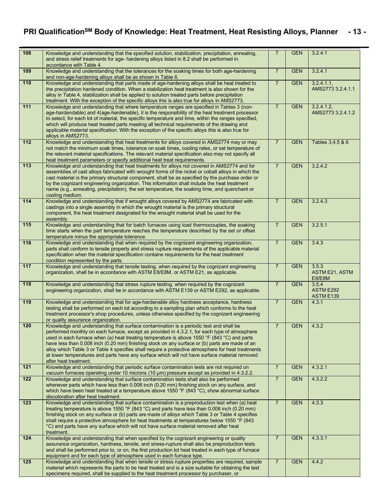### **PRI QualificationSM Body of Knowledge: Heat Treatment, Heat Resisting Alloys, Planner - 13 -**

| 108              | Knowledge and understanding that the specified solution, stabilization, precipitation, annealing,<br>and stress relief treatments for age- hardening alloys listed in 8.2 shall be performed in<br>accordance with Table 4.                                                                                                                                                                                                                                                                                                                                                                                              | $\overline{7}$ | <b>GEN</b> | 3.2.4.1                                  |
|------------------|--------------------------------------------------------------------------------------------------------------------------------------------------------------------------------------------------------------------------------------------------------------------------------------------------------------------------------------------------------------------------------------------------------------------------------------------------------------------------------------------------------------------------------------------------------------------------------------------------------------------------|----------------|------------|------------------------------------------|
| 109              | Knowledge and understanding that the tolerances for the soaking times for both age-hardening<br>and non-age-hardening alloys shall be as shown in Table 6.                                                                                                                                                                                                                                                                                                                                                                                                                                                               | $\overline{7}$ | <b>GEN</b> | 3.2.4.1                                  |
| 110              | Knowledge and understanding that parts made of age-hardening alloys shall be heat treated to<br>the precipitation hardened condition. When a stabilization heat treatment is also shown for the<br>alloy in Table 4, stabilization shall be applied to solution treated parts before precipitation<br>treatment. With the exception of the specific alloys this is also true for alloys in AMS2773.                                                                                                                                                                                                                      | $\overline{7}$ | <b>GEN</b> | 3.2.4.1.1<br>AMS2773 3.2.4.1.1           |
| $111$            | Knowledge and understanding that where temperature ranges are specified in Tables 3 (non-<br>age-hardendable) and 4(age-hardenable), it is the responsibility of the heat treatment processor<br>to select, for each lot of material, the specific temperature and time, within the ranges specified,<br>which will produce heat treated parts meeting all technical requirements of the drawing and<br>applicable material specification. With the exception of the specific alloys this is also true for<br>alloys in AMS2773.                                                                                         | $\overline{7}$ | <b>GEN</b> | 3.2.4.1.2<br>AMS2773 3.2.4.1.2           |
| $112$            | Knowledge and understanding that heat treatments for alloys covered in AMS2774 may or may<br>not match the minimum soak times, tolerance on soak times, cooling rates, or set temperature of<br>the relevant material specifications. The relevant material specification also may not specify all<br>heat treatment parameters or specify additional heat treat requirements.                                                                                                                                                                                                                                           | $\overline{7}$ | <b>GEN</b> | Tables 3,4,5 & 6                         |
| $\overline{113}$ | Knowledge and understanding that heat treatments for alloys not covered in AMS2774 and for<br>assemblies of cast alloys fabricated with wrought forms of the nickel or cobalt alloys in which the<br>cast material is the primary structural component, shall be as specified by the purchase order or<br>by the cognizant engineering organization. This information shall include the heat treatment<br>name (e.g., annealing, precipitation), the set temperature, the soaking time, and quenchant or<br>cooling medium.                                                                                              | $\overline{7}$ | <b>GEN</b> | 3.2.4.2                                  |
| 114              | Knowledge and understanding that if wrought alloys covered by AMS2774 are fabricated with<br>castings into a single assembly in which the wrought material is the primary structural<br>component, the heat treatment designated for the wrought material shall be used for the<br>assembly.                                                                                                                                                                                                                                                                                                                             | $\overline{7}$ | <b>GEN</b> | 3.2.4.3                                  |
| 115              | Knowledge and understanding that for batch furnaces using load thermocouples, the soaking<br>time starts when the part temperature reaches the temperature described by the set or offset<br>temperature minus the appropriate tolerance.                                                                                                                                                                                                                                                                                                                                                                                | $\overline{7}$ | <b>GEN</b> | 3.2.5.1                                  |
| $\overline{116}$ | Knowledge and understanding that when required by the cognizant engineering organization,<br>parts shall conform to tensile property and stress rupture requirements of the applicable material<br>specification when the material specification contains requirements for the heat treatment<br>condition represented by the parts.                                                                                                                                                                                                                                                                                     | $\overline{7}$ | <b>GEN</b> | 3.4.3                                    |
| 117              | Knowledge and understanding that tensile testing, when required by the cognizant engineering<br>organization, shall be in accordance with ASTM E8/E8M, or ASTM E21, as applicable.                                                                                                                                                                                                                                                                                                                                                                                                                                       | $\overline{7}$ | <b>GEN</b> | 3.5.3<br><b>ASTM E21, ASTM</b><br>E8/E8M |
| 118              | Knowledge and understanding that stress rupture testing, when required by the cognizant<br>engineering organization, shall be in accordance with ASTM E139 or ASTM E292, as applicable.                                                                                                                                                                                                                                                                                                                                                                                                                                  | $\overline{7}$ | <b>GEN</b> | 3.5.4<br>ASTM E292<br>ASTM E139          |
| 119              | Knowledge and understanding that for age-hardenable alloy hardness acceptance, hardness<br>testing shall be performed on each lot according to a sampling plan which conforms to the heat<br>treatment processor's shop procedures, unless otherwise specified by the cognizant engineering<br>or quality assurance organization.                                                                                                                                                                                                                                                                                        | $\overline{7}$ | <b>GEN</b> | 4 3 1                                    |
| 120              | Knowledge and understanding that surface contamination is a periodic test and shall be<br>performed monthly on each furnace, except as provided in 4.3.2.1, for each type of atmosphere<br>used in each furnace when (a) heat treating temperature is above 1550 °F (843 °C) and parts<br>have less than 0.008 inch (0.20 mm) finishing stock on any surface or (b) parts are made of an<br>alloy which Table 3 or Table 4 specifies shall require a protective atmosphere for heat treatments<br>at lower temperatures and parts have any surface which will not have surface material removed<br>after heat treatment. | $\overline{7}$ | <b>GEN</b> | 4.3.2                                    |
| $121$            | Knowledge and understanding that periodic surface contamination tests are not required on<br>vacuum furnaces operating under 10 microns (10 µm) pressure except as provided in 4.3.2.2.                                                                                                                                                                                                                                                                                                                                                                                                                                  | $\overline{7}$ | <b>GEN</b> | 4.3.2.1                                  |
| 122              | Knowledge and understanding that surface contamination tests shall also be performed<br>whenever parts which have less than 0.008 inch (0.20 mm) finishing stock on any surface, and<br>which have been heat treated at a temperature above 1550 °F (843 °C), show abnormal surface<br>discoloration after heat treatment.                                                                                                                                                                                                                                                                                               | $\overline{7}$ | <b>GEN</b> | 4.3.2.2                                  |
| 123              | Knowledge and understanding that surface contamination is a preproduction test when (a) heat<br>treating temperature is above 1550 °F (843 °C) and parts have less than 0.008 inch (0.20 mm)<br>finishing stock on any surface or (b) parts are made of alloys which Table 3 or Table 4 specifies<br>shall require a protective atmosphere for heat treatments at temperatures below 1550 °F (843)<br>°C) and parts have any surface which will not have surface material removed after heat<br>treatment.                                                                                                               | $\overline{7}$ | <b>GEN</b> | 4.3.3                                    |
| 124              | Knowledge and understanding that when specified by the cognizant engineering or quality<br>assurance organization, hardness, tensile, and stress-rupture shall also be preproduction tests<br>and shall be performed prior to, or on, the first production lot heat treated in each type of furnace<br>equipment and for each type of atmosphere used in each furnace type.                                                                                                                                                                                                                                              | $\overline{7}$ | <b>GEN</b> | 4.3.3.1                                  |
| 125              | Knowledge and understanding that when tensile or stress rupture properties are required, sample<br>material which represents the parts to be heat treated and is a size suitable for obtaining the test<br>specimens required, shall be supplied to the heat treatment processor by purchaser, or                                                                                                                                                                                                                                                                                                                        | $\overline{7}$ | <b>GEN</b> | 442                                      |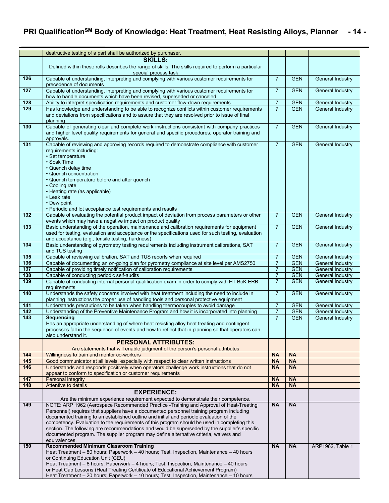### **PRI QualificationSM Body of Knowledge: Heat Treatment, Heat Resisting Alloys, Planner - 14 -**

|                  | destructive testing of a part shall be authorized by purchaser.                                                                                                                                                                                                                                                                                                                                                                                                                                                                                                                                                                                                                                                                                                                |                        |                        |                         |
|------------------|--------------------------------------------------------------------------------------------------------------------------------------------------------------------------------------------------------------------------------------------------------------------------------------------------------------------------------------------------------------------------------------------------------------------------------------------------------------------------------------------------------------------------------------------------------------------------------------------------------------------------------------------------------------------------------------------------------------------------------------------------------------------------------|------------------------|------------------------|-------------------------|
|                  | <b>SKILLS:</b><br>Defined within these rolls describes the range of skills. The skills required to perform a particular<br>special process task                                                                                                                                                                                                                                                                                                                                                                                                                                                                                                                                                                                                                                |                        |                        |                         |
| 126              | Capable of understanding, interpreting and complying with various customer requirements for<br>precedence of documents                                                                                                                                                                                                                                                                                                                                                                                                                                                                                                                                                                                                                                                         | $\overline{7}$         | <b>GEN</b>             | General Industry        |
| $\overline{127}$ | Capable of understanding, interpreting and complying with various customer requirements for<br>how to handle documents which have been revised, superseded or canceled                                                                                                                                                                                                                                                                                                                                                                                                                                                                                                                                                                                                         | $\overline{7}$         | <b>GEN</b>             | General Industry        |
| 128              | Ability to interpret specification requirements and customer flow-down requirements                                                                                                                                                                                                                                                                                                                                                                                                                                                                                                                                                                                                                                                                                            | $\overline{7}$         | <b>GEN</b>             | <b>General Industry</b> |
| 129              | Has knowledge and understanding to be able to recognize conflicts within customer requirements<br>and deviations from specifications and to assure that they are resolved prior to issue of final<br>planning                                                                                                                                                                                                                                                                                                                                                                                                                                                                                                                                                                  | $\overline{7}$         | <b>GEN</b>             | General Industry        |
| 130              | Capable of generating clear and complete work instructions consistent with company practices<br>and higher level quality requirements for general and specific procedures, operator training and<br>approvals.                                                                                                                                                                                                                                                                                                                                                                                                                                                                                                                                                                 | $\overline{7}$         | <b>GEN</b>             | <b>General Industry</b> |
| 131              | Capable of reviewing and approving records required to demonstrate compliance with customer<br>requirements including:<br>• Set temperature<br>• Soak Time<br>• Quench delay time<br>• Quench concentration<br>• Quench temperature before and after quench<br>• Cooling rate<br>• Heating rate (as applicable)<br>• Leak rate<br>• Dew point<br>• Periodic and lot acceptance test requirements and results                                                                                                                                                                                                                                                                                                                                                                   | $\overline{7}$         | <b>GEN</b>             | General Industry        |
| 132              | Capable of evaluating the potential product impact of deviation from process parameters or other<br>events which may have a negative impact on product quality                                                                                                                                                                                                                                                                                                                                                                                                                                                                                                                                                                                                                 | $\overline{7}$         | <b>GEN</b>             | General Industry        |
| 133              | Basic understanding of the operation, maintenance and calibration requirements for equipment<br>used for testing, evaluation and acceptance or the specifications used for such testing, evaluation<br>and acceptance (e.g., tensile testing, hardness)                                                                                                                                                                                                                                                                                                                                                                                                                                                                                                                        | $\overline{7}$         | <b>GEN</b>             | General Industry        |
| 134              | Basic understanding of pyrometry testing requirements including instrument calibrations, SAT<br>and TUS testing                                                                                                                                                                                                                                                                                                                                                                                                                                                                                                                                                                                                                                                                | $\overline{7}$         | <b>GEN</b>             | General Industry        |
| 135              | Capable of reviewing calibration, SAT and TUS reports when required                                                                                                                                                                                                                                                                                                                                                                                                                                                                                                                                                                                                                                                                                                            | $\overline{7}$         | <b>GEN</b>             | General Industry        |
| 136              | Capable of documenting an on-going plan for pyrometry compliance at site level per AMS2750                                                                                                                                                                                                                                                                                                                                                                                                                                                                                                                                                                                                                                                                                     | $\overline{7}$         | <b>GEN</b>             | General Industry        |
| $\overline{137}$ | Capable of providing timely notification of calibration requirements                                                                                                                                                                                                                                                                                                                                                                                                                                                                                                                                                                                                                                                                                                           | $\boldsymbol{7}$       | <b>GEN</b>             | General Industry        |
| 138              | Capable of conducting periodic self-audits                                                                                                                                                                                                                                                                                                                                                                                                                                                                                                                                                                                                                                                                                                                                     | $\overline{7}$         | <b>GEN</b>             | General Industry        |
| 139              | Capable of conducting internal personal qualification exam in order to comply with HT BoK ERB<br>requirements                                                                                                                                                                                                                                                                                                                                                                                                                                                                                                                                                                                                                                                                  | $\overline{7}$         | <b>GEN</b>             | General Industry        |
| 140              | Understands the safety concerns involved with heat treatment including the need to include in<br>planning instructions the proper use of handling tools and personal protective equipment                                                                                                                                                                                                                                                                                                                                                                                                                                                                                                                                                                                      | $\overline{7}$         | <b>GEN</b>             | <b>General Industry</b> |
| 141              | Understands precautions to be taken when handling thermocouples to avoid damage                                                                                                                                                                                                                                                                                                                                                                                                                                                                                                                                                                                                                                                                                                | $\overline{7}$         | <b>GEN</b>             | <b>General Industry</b> |
| $\overline{142}$ | Understanding of the Preventive Maintenance Program and how it is incorporated into planning                                                                                                                                                                                                                                                                                                                                                                                                                                                                                                                                                                                                                                                                                   | $\overline{7}$         | <b>GEN</b>             | General Industry        |
| 143              | Sequencing<br>Has an appropriate understanding of where heat resisting alloy heat treating and contingent<br>processes fall in the sequence of events and how to reflect that in planning so that operators can<br>also understand it.                                                                                                                                                                                                                                                                                                                                                                                                                                                                                                                                         | $\overline{7}$         | <b>GEN</b>             | General Industry        |
|                  | <b>PERSONAL ATTRIBUTES:</b><br>Are statements that will enable judgment of the person's personal attributes                                                                                                                                                                                                                                                                                                                                                                                                                                                                                                                                                                                                                                                                    |                        |                        |                         |
| 144              | Willingness to train and mentor co-workers                                                                                                                                                                                                                                                                                                                                                                                                                                                                                                                                                                                                                                                                                                                                     | <b>NA</b>              | <b>NA</b>              |                         |
| 145              | Good communicator at all levels, especially with respect to clear written instructions                                                                                                                                                                                                                                                                                                                                                                                                                                                                                                                                                                                                                                                                                         | <b>NA</b>              | <b>NA</b>              |                         |
| 146              | Understands and responds positively when operators challenge work instructions that do not<br>appear to conform to specification or customer requirements                                                                                                                                                                                                                                                                                                                                                                                                                                                                                                                                                                                                                      | <b>NA</b>              | <b>NA</b>              |                         |
| $\overline{147}$ | Personal integrity                                                                                                                                                                                                                                                                                                                                                                                                                                                                                                                                                                                                                                                                                                                                                             | <b>NA</b>              | <b>NA</b>              |                         |
| 148              | Attentive to details                                                                                                                                                                                                                                                                                                                                                                                                                                                                                                                                                                                                                                                                                                                                                           | <b>NA</b>              | <b>NA</b>              |                         |
|                  | <b>EXPERIENCE:</b><br>Are the minimum experience requirement expected to demonstrate their competence.                                                                                                                                                                                                                                                                                                                                                                                                                                                                                                                                                                                                                                                                         |                        |                        |                         |
| 149<br>150       | NOTE: ARP 1962 (Aerospace Recommended Practice -Training and Approval of Heat-Treating<br>Personnel) requires that suppliers have a documented personnel training program including<br>documented training to an established outline and initial and periodic evaluation of the<br>competency. Evaluation to the requirements of this program should be used in completing this<br>section. The following are recommendations and would be superseded by the supplier's specific<br>documented program. The supplier program may define alternative criteria, waivers and<br>equivalences.<br><b>Recommended Minimum Classroom Training</b><br>Heat Treatment - 80 hours; Paperwork - 40 hours; Test, Inspection, Maintenance - 40 hours<br>or Continuing Education Unit (CEU) | <b>NA</b><br><b>NA</b> | <b>NA</b><br><b>NA</b> | ARP1962, Table 1        |
|                  | Heat Treatment - 8 hours; Paperwork - 4 hours; Test, Inspection, Maintenance - 40 hours<br>or Heat Cap Lessons (Heat Treating Certificate of Educational Achievement Program)<br>Heat Treatment – 20 hours; Paperwork – 10 hours; Test, Inspection, Maintenance – 10 hours                                                                                                                                                                                                                                                                                                                                                                                                                                                                                                     |                        |                        |                         |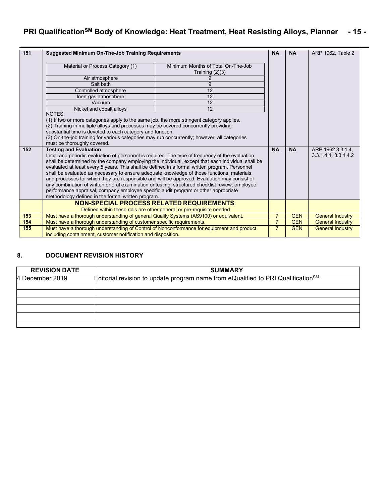### **PRI QualificationSM Body of Knowledge: Heat Treatment, Heat Resisting Alloys, Planner - 15 -**

| 151 | <b>Suggested Minimum On-The-Job Training Requirements</b>                                                                            |                                                                                                                                                                                                                                                                                                                                                                                                                                                                                                                                                                                                                                                                                                                                                                                                                                                                                                                                                                                        | <b>NA</b>      | <b>NA</b>  | ARP 1962, Table 2                         |
|-----|--------------------------------------------------------------------------------------------------------------------------------------|----------------------------------------------------------------------------------------------------------------------------------------------------------------------------------------------------------------------------------------------------------------------------------------------------------------------------------------------------------------------------------------------------------------------------------------------------------------------------------------------------------------------------------------------------------------------------------------------------------------------------------------------------------------------------------------------------------------------------------------------------------------------------------------------------------------------------------------------------------------------------------------------------------------------------------------------------------------------------------------|----------------|------------|-------------------------------------------|
|     | Material or Process Category (1)                                                                                                     | Minimum Months of Total On-The-Job<br>Training $(2)(3)$                                                                                                                                                                                                                                                                                                                                                                                                                                                                                                                                                                                                                                                                                                                                                                                                                                                                                                                                |                |            |                                           |
|     | Air atmosphere                                                                                                                       | g                                                                                                                                                                                                                                                                                                                                                                                                                                                                                                                                                                                                                                                                                                                                                                                                                                                                                                                                                                                      |                |            |                                           |
|     | Salt bath<br>9                                                                                                                       |                                                                                                                                                                                                                                                                                                                                                                                                                                                                                                                                                                                                                                                                                                                                                                                                                                                                                                                                                                                        |                |            |                                           |
|     | Controlled atmosphere                                                                                                                | 12                                                                                                                                                                                                                                                                                                                                                                                                                                                                                                                                                                                                                                                                                                                                                                                                                                                                                                                                                                                     |                |            |                                           |
|     | Inert gas atmosphere                                                                                                                 | 12                                                                                                                                                                                                                                                                                                                                                                                                                                                                                                                                                                                                                                                                                                                                                                                                                                                                                                                                                                                     |                |            |                                           |
|     | Vacuum                                                                                                                               | 12                                                                                                                                                                                                                                                                                                                                                                                                                                                                                                                                                                                                                                                                                                                                                                                                                                                                                                                                                                                     |                |            |                                           |
|     | Nickel and cobalt alloys                                                                                                             | 12                                                                                                                                                                                                                                                                                                                                                                                                                                                                                                                                                                                                                                                                                                                                                                                                                                                                                                                                                                                     |                |            |                                           |
| 152 | NOTES:<br>substantial time is devoted to each category and function.<br>must be thoroughly covered.<br><b>Testing and Evaluation</b> | (1) If two or more categories apply to the same job, the more stringent category applies.<br>(2) Training in multiple alloys and processes may be covered concurrently providing<br>(3) On-the-job training for various categories may run concurrently; however, all categories<br>Initial and periodic evaluation of personnel is required. The type of frequency of the evaluation<br>shall be determined by the company employing the individual, except that each individual shall be<br>evaluated at least every 5 years. This shall be defined in a formal written program. Personnel<br>shall be evaluated as necessary to ensure adequate knowledge of those functions, materials,<br>and processes for which they are responsible and will be approved. Evaluation may consist of<br>any combination of written or oral examination or testing, structured checklist review, employee<br>performance appraisal, company employee specific audit program or other appropriate |                |            | ARP 1962 3.3.1.4,<br>3.3.1.4.1, 3.3.1.4.2 |
|     | methodology defined in the formal written program.                                                                                   |                                                                                                                                                                                                                                                                                                                                                                                                                                                                                                                                                                                                                                                                                                                                                                                                                                                                                                                                                                                        |                |            |                                           |
|     |                                                                                                                                      | <b>NON-SPECIAL PROCESS RELATED REQUIREMENTS:</b><br>Defined within these rolls are other general or pre-requisite needed                                                                                                                                                                                                                                                                                                                                                                                                                                                                                                                                                                                                                                                                                                                                                                                                                                                               |                |            |                                           |
| 153 | Must have a thorough understanding of general Quality Systems (AS9100) or equivalent.                                                |                                                                                                                                                                                                                                                                                                                                                                                                                                                                                                                                                                                                                                                                                                                                                                                                                                                                                                                                                                                        | $\overline{7}$ | <b>GEN</b> | <b>General Industry</b>                   |
| 154 | Must have a thorough understanding of customer specific requirements.                                                                |                                                                                                                                                                                                                                                                                                                                                                                                                                                                                                                                                                                                                                                                                                                                                                                                                                                                                                                                                                                        | $\overline{7}$ | <b>GEN</b> | <b>General Industry</b>                   |
| 155 | Must have a thorough understanding of Control of Nonconformance for equipment and product                                            |                                                                                                                                                                                                                                                                                                                                                                                                                                                                                                                                                                                                                                                                                                                                                                                                                                                                                                                                                                                        | $\overline{7}$ | <b>GEN</b> | <b>General Industry</b>                   |
|     | including containment, customer notification and disposition.                                                                        |                                                                                                                                                                                                                                                                                                                                                                                                                                                                                                                                                                                                                                                                                                                                                                                                                                                                                                                                                                                        |                |            |                                           |

### **8. DOCUMENT REVISION HISTORY**

| <b>REVISION DATE</b> | <b>SUMMARY</b>                                                                                |
|----------------------|-----------------------------------------------------------------------------------------------|
| 4 December 2019      | Editorial revision to update program name from eQualified to PRI Qualification <sup>SM.</sup> |
|                      |                                                                                               |
|                      |                                                                                               |
|                      |                                                                                               |
|                      |                                                                                               |
|                      |                                                                                               |
|                      |                                                                                               |